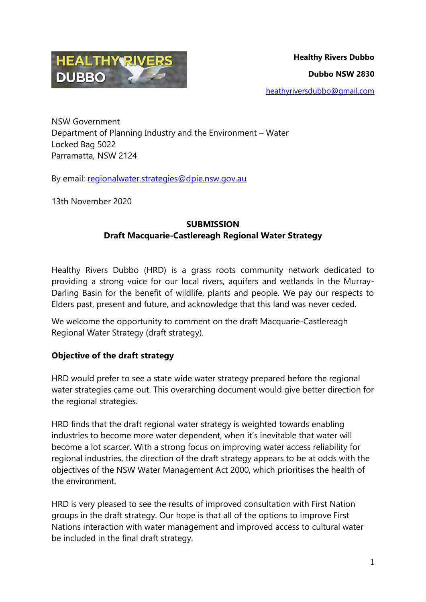

NSW Government Department of Planning Industry and the Environment – Water Locked Bag 5022 Parramatta, NSW 2124

By email: [regionalwater.strategies@dpie.nsw.gov.au](mailto:regionalwater.strategies@dpie.nsw.gov.au)

13th November 2020

## **SUBMISSION Draft Macquarie-Castlereagh Regional Water Strategy**

Healthy Rivers Dubbo (HRD) is a grass roots community network dedicated to providing a strong voice for our local rivers, aquifers and wetlands in the Murray-Darling Basin for the benefit of wildlife, plants and people. We pay our respects to Elders past, present and future, and acknowledge that this land was never ceded.

We welcome the opportunity to comment on the draft Macquarie-Castlereagh Regional Water Strategy (draft strategy).

## **Objective of the draft strategy**

HRD would prefer to see a state wide water strategy prepared before the regional water strategies came out. This overarching document would give better direction for the regional strategies.

HRD finds that the draft regional water strategy is weighted towards enabling industries to become more water dependent, when it's inevitable that water will become a lot scarcer. With a strong focus on improving water access reliability for regional industries, the direction of the draft strategy appears to be at odds with the objectives of the NSW Water Management Act 2000, which prioritises the health of the environment.

HRD is very pleased to see the results of improved consultation with First Nation groups in the draft strategy. Our hope is that all of the options to improve First Nations interaction with water management and improved access to cultural water be included in the final draft strategy.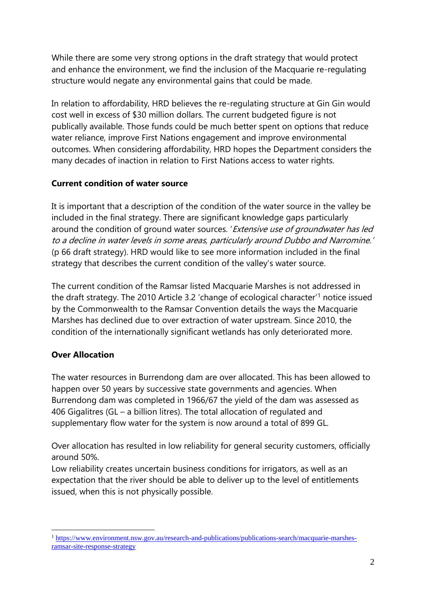While there are some very strong options in the draft strategy that would protect and enhance the environment, we find the inclusion of the Macquarie re-regulating structure would negate any environmental gains that could be made.

In relation to affordability, HRD believes the re-regulating structure at Gin Gin would cost well in excess of \$30 million dollars. The current budgeted figure is not publically available. Those funds could be much better spent on options that reduce water reliance, improve First Nations engagement and improve environmental outcomes. When considering affordability, HRD hopes the Department considers the many decades of inaction in relation to First Nations access to water rights.

#### **Current condition of water source**

It is important that a description of the condition of the water source in the valley be included in the final strategy. There are significant knowledge gaps particularly around the condition of ground water sources. 'Extensive use of groundwater has led to a decline in water levels in some areas, particularly around Dubbo and Narromine.' (p 66 draft strategy). HRD would like to see more information included in the final strategy that describes the current condition of the valley's water source.

The current condition of the Ramsar listed Macquarie Marshes is not addressed in the draft strategy. The 2010 Article 3.2 'change of ecological character'<sup>1</sup> notice issued by the Commonwealth to the Ramsar Convention details the ways the Macquarie Marshes has declined due to over extraction of water upstream. Since 2010, the condition of the internationally significant wetlands has only deteriorated more.

## **Over Allocation**

The water resources in Burrendong dam are over allocated. This has been allowed to happen over 50 years by successive state governments and agencies. When Burrendong dam was completed in 1966/67 the yield of the dam was assessed as 406 Gigalitres (GL – a billion litres). The total allocation of regulated and supplementary flow water for the system is now around a total of 899 GL.

Over allocation has resulted in low reliability for general security customers, officially around 50%.

Low reliability creates uncertain business conditions for irrigators, as well as an expectation that the river should be able to deliver up to the level of entitlements issued, when this is not physically possible.

<sup>1</sup> <sup>1</sup> [https://www.environment.nsw.gov.au/research-and-publications/publications-search/macquarie-marshes](https://www.environment.nsw.gov.au/research-and-publications/publications-search/macquarie-marshes-ramsar-site-response-strategy)[ramsar-site-response-strategy](https://www.environment.nsw.gov.au/research-and-publications/publications-search/macquarie-marshes-ramsar-site-response-strategy)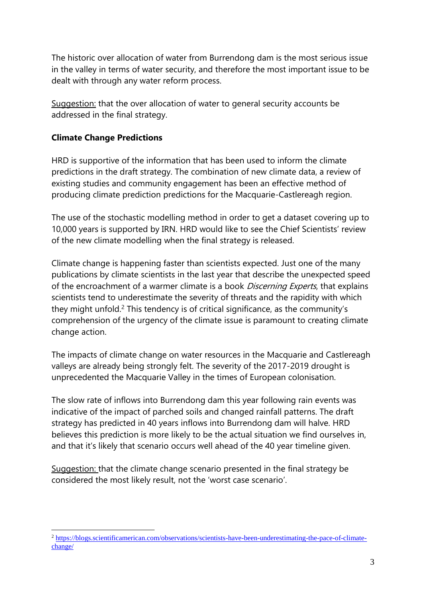The historic over allocation of water from Burrendong dam is the most serious issue in the valley in terms of water security, and therefore the most important issue to be dealt with through any water reform process.

Suggestion: that the over allocation of water to general security accounts be addressed in the final strategy.

#### **Climate Change Predictions**

HRD is supportive of the information that has been used to inform the climate predictions in the draft strategy. The combination of new climate data, a review of existing studies and community engagement has been an effective method of producing climate prediction predictions for the Macquarie-Castlereagh region.

The use of the stochastic modelling method in order to get a dataset covering up to 10,000 years is supported by IRN. HRD would like to see the Chief Scientists' review of the new climate modelling when the final strategy is released.

Climate change is happening faster than scientists expected. Just one of the many publications by climate scientists in the last year that describe the unexpected speed of the encroachment of a warmer climate is a book *Discerning Experts*, that explains scientists tend to underestimate the severity of threats and the rapidity with which they might unfold.<sup>2</sup> This tendency is of critical significance, as the community's comprehension of the urgency of the climate issue is paramount to creating climate change action.

The impacts of climate change on water resources in the Macquarie and Castlereagh valleys are already being strongly felt. The severity of the 2017-2019 drought is unprecedented the Macquarie Valley in the times of European colonisation.

The slow rate of inflows into Burrendong dam this year following rain events was indicative of the impact of parched soils and changed rainfall patterns. The draft strategy has predicted in 40 years inflows into Burrendong dam will halve. HRD believes this prediction is more likely to be the actual situation we find ourselves in, and that it's likely that scenario occurs well ahead of the 40 year timeline given.

Suggestion: that the climate change scenario presented in the final strategy be considered the most likely result, not the 'worst case scenario'.

<sup>1</sup> <sup>2</sup> [https://blogs.scientificamerican.com/observations/scientists-have-been-underestimating-the-pace-of-climate](https://blogs.scientificamerican.com/observations/scientists-have-been-underestimating-the-pace-of-climate-change/)[change/](https://blogs.scientificamerican.com/observations/scientists-have-been-underestimating-the-pace-of-climate-change/)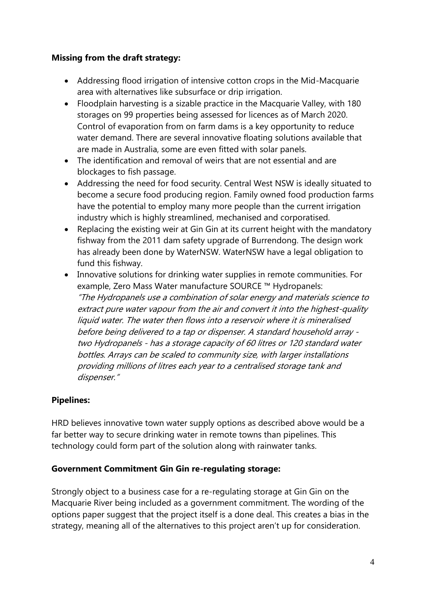#### **Missing from the draft strategy:**

- Addressing flood irrigation of intensive cotton crops in the Mid-Macquarie area with alternatives like subsurface or drip irrigation.
- Floodplain harvesting is a sizable practice in the Macquarie Valley, with 180 storages on 99 properties being assessed for licences as of March 2020. Control of evaporation from on farm dams is a key opportunity to reduce water demand. There are several innovative floating solutions available that are made in Australia, some are even fitted with solar panels.
- The identification and removal of weirs that are not essential and are blockages to fish passage.
- Addressing the need for food security. Central West NSW is ideally situated to become a secure food producing region. Family owned food production farms have the potential to employ many more people than the current irrigation industry which is highly streamlined, mechanised and corporatised.
- Replacing the existing weir at Gin Gin at its current height with the mandatory fishway from the 2011 dam safety upgrade of Burrendong. The design work has already been done by WaterNSW. WaterNSW have a legal obligation to fund this fishway.
- Innovative solutions for drinking water supplies in remote communities. For example, Zero Mass Water manufacture SOURCE ™ Hydropanels: "The Hydropanels use a combination of solar energy and materials science to extract pure water vapour from the air and convert it into the highest-quality liquid water. The water then flows into a reservoir where it is mineralised before being delivered to a tap or dispenser. A standard household array two Hydropanels - has a storage capacity of 60 litres or 120 standard water bottles. Arrays can be scaled to community size, with larger installations providing millions of litres each year to a centralised storage tank and dispenser."

## **Pipelines:**

HRD believes innovative town water supply options as described above would be a far better way to secure drinking water in remote towns than pipelines. This technology could form part of the solution along with rainwater tanks.

## **Government Commitment Gin Gin re-regulating storage:**

Strongly object to a business case for a re-regulating storage at Gin Gin on the Macquarie River being included as a government commitment. The wording of the options paper suggest that the project itself is a done deal. This creates a bias in the strategy, meaning all of the alternatives to this project aren't up for consideration.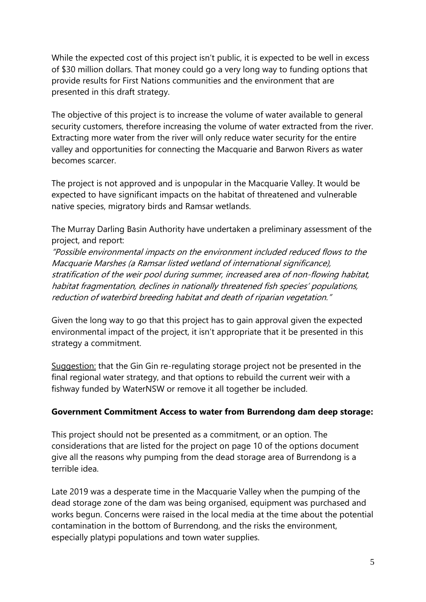While the expected cost of this project isn't public, it is expected to be well in excess of \$30 million dollars. That money could go a very long way to funding options that provide results for First Nations communities and the environment that are presented in this draft strategy.

The objective of this project is to increase the volume of water available to general security customers, therefore increasing the volume of water extracted from the river. Extracting more water from the river will only reduce water security for the entire valley and opportunities for connecting the Macquarie and Barwon Rivers as water becomes scarcer.

The project is not approved and is unpopular in the Macquarie Valley. It would be expected to have significant impacts on the habitat of threatened and vulnerable native species, migratory birds and Ramsar wetlands.

The Murray Darling Basin Authority have undertaken a preliminary assessment of the project, and report:

"Possible environmental impacts on the environment included reduced flows to the Macquarie Marshes (a Ramsar listed wetland of international significance), stratification of the weir pool during summer, increased area of non-flowing habitat, habitat fragmentation, declines in nationally threatened fish species' populations, reduction of waterbird breeding habitat and death of riparian vegetation."

Given the long way to go that this project has to gain approval given the expected environmental impact of the project, it isn't appropriate that it be presented in this strategy a commitment.

Suggestion: that the Gin Gin re-regulating storage project not be presented in the final regional water strategy, and that options to rebuild the current weir with a fishway funded by WaterNSW or remove it all together be included.

#### **Government Commitment Access to water from Burrendong dam deep storage:**

This project should not be presented as a commitment, or an option. The considerations that are listed for the project on page 10 of the options document give all the reasons why pumping from the dead storage area of Burrendong is a terrible idea.

Late 2019 was a desperate time in the Macquarie Valley when the pumping of the dead storage zone of the dam was being organised, equipment was purchased and works begun. Concerns were raised in the local media at the time about the potential contamination in the bottom of Burrendong, and the risks the environment, especially platypi populations and town water supplies.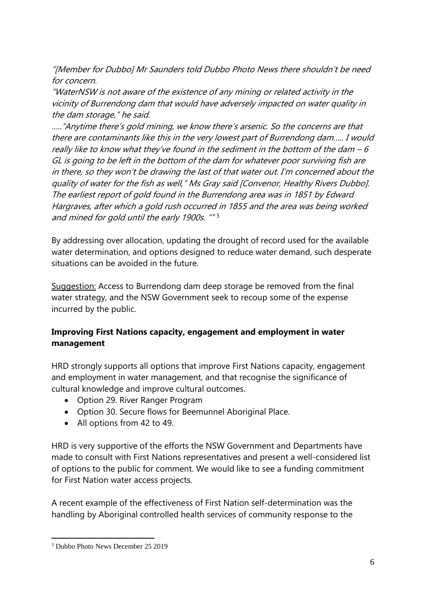"[Member for Dubbo] Mr Saunders told Dubbo Photo News there shouldn't be need for concern.

"WaterNSW is not aware of the existence of any mining or related activity in the vicinity of Burrendong dam that would have adversely impacted on water quality in the dam storage," he said.

….."Anytime there's gold mining, we know there's arsenic. So the concerns are that there are contaminants like this in the very lowest part of Burrendong dam….. I would really like to know what they've found in the sediment in the bottom of the dam  $-6$ GL is going to be left in the bottom of the dam for whatever poor surviving fish are in there, so they won't be drawing the last of that water out. I'm concerned about the quality of water for the fish as well," Ms Gray said [Convenor, Healthy Rivers Dubbo]. The earliest report of gold found in the Burrendong area was in 1851 by Edward Hargraves, after which a gold rush occurred in 1855 and the area was being worked and mined for gold until the early 1900s. ""<sup>3</sup>

By addressing over allocation, updating the drought of record used for the available water determination, and options designed to reduce water demand, such desperate situations can be avoided in the future.

Suggestion: Access to Burrendong dam deep storage be removed from the final water strategy, and the NSW Government seek to recoup some of the expense incurred by the public.

# **Improving First Nations capacity, engagement and employment in water management**

HRD strongly supports all options that improve First Nations capacity, engagement and employment in water management, and that recognise the significance of cultural knowledge and improve cultural outcomes.

- Option 29. River Ranger Program
- Option 30. Secure flows for Beemunnel Aboriginal Place.
- All options from 42 to 49.

HRD is very supportive of the efforts the NSW Government and Departments have made to consult with First Nations representatives and present a well-considered list of options to the public for comment. We would like to see a funding commitment for First Nation water access projects.

A recent example of the effectiveness of First Nation self-determination was the handling by Aboriginal controlled health services of community response to the

1

<sup>3</sup> Dubbo Photo News December 25 2019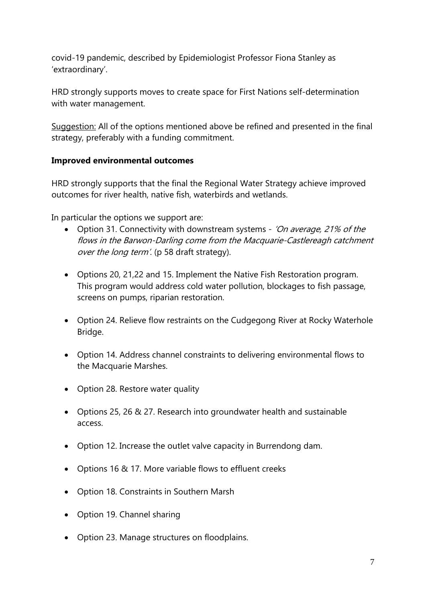covid-19 pandemic, described by Epidemiologist Professor Fiona Stanley as 'extraordinary'.

HRD strongly supports moves to create space for First Nations self-determination with water management.

Suggestion: All of the options mentioned above be refined and presented in the final strategy, preferably with a funding commitment.

## **Improved environmental outcomes**

HRD strongly supports that the final the Regional Water Strategy achieve improved outcomes for river health, native fish, waterbirds and wetlands.

In particular the options we support are:

- Option 31. Connectivity with downstream systems 'On average, 21% of the flows in the Barwon-Darling come from the Macquarie-Castlereagh catchment over the long term'. (p 58 draft strategy).
- Options 20, 21,22 and 15. Implement the Native Fish Restoration program. This program would address cold water pollution, blockages to fish passage, screens on pumps, riparian restoration.
- Option 24. Relieve flow restraints on the Cudgegong River at Rocky Waterhole Bridge.
- Option 14. Address channel constraints to delivering environmental flows to the Macquarie Marshes.
- Option 28. Restore water quality
- Options 25, 26 & 27. Research into groundwater health and sustainable access.
- Option 12. Increase the outlet valve capacity in Burrendong dam.
- Options 16 & 17. More variable flows to effluent creeks
- Option 18. Constraints in Southern Marsh
- Option 19. Channel sharing
- Option 23. Manage structures on floodplains.